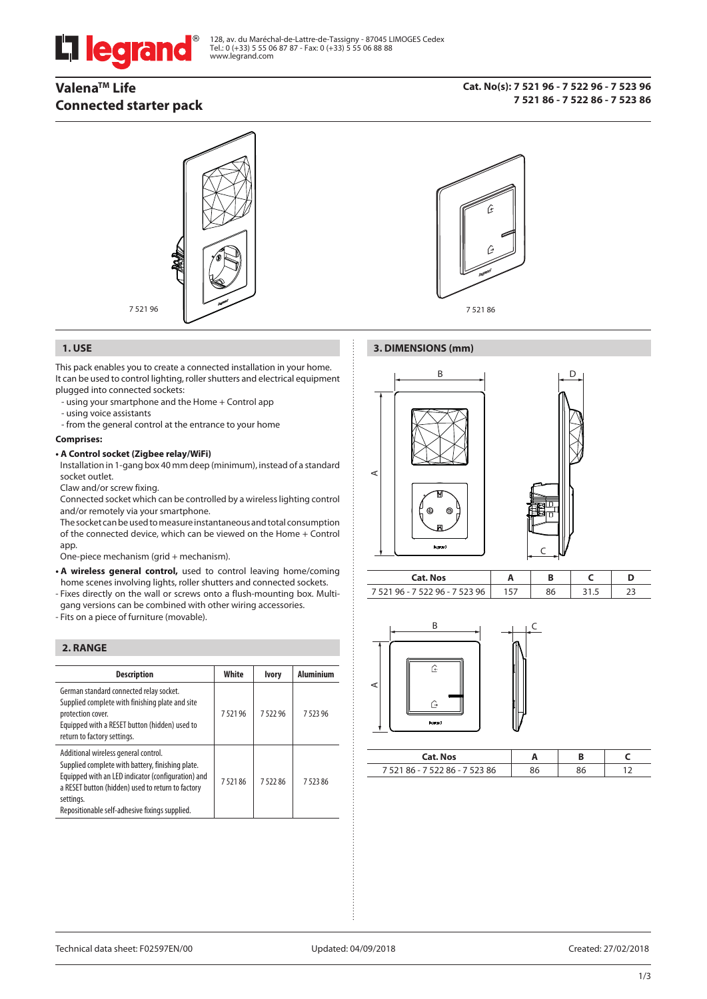# l legrand

128, av. du Maréchal-de-Lattre-de-Tassigny - 87045 LIMOGES Cedex Tel.: 0 (+33) 5 55 06 87 87 - Fax: 0 (+33) 5 55 06 88 88 www.legrand.com

# **ValenaTM Life Connected starter pack**

**Cat. No(s): 7 521 96 - 7 522 96 - 7 523 96 7 521 86 - 7 522 86 - 7 523 86**





#### **1. USE 3. DIMENSIONS (mm)**

This pack enables you to create a connected installation in your home. It can be used to control lighting, roller shutters and electrical equipment plugged into connected sockets:

- using your smartphone and the Home + Control app
- using voice assistants
- from the general control at the entrance to your home

#### **Comprises:**

#### **• A Control socket (Zigbee relay/WiFi)**

 Installation in 1-gang box 40 mm deep (minimum), instead of a standard socket outlet.

Claw and/or screw fixing.

 Connected socket which can be controlled by a wireless lighting control and/or remotely via your smartphone.

 The socket can be used to measure instantaneous and total consumption of the connected device, which can be viewed on the Home + Control app.

One-piece mechanism (grid + mechanism).

- **A wireless general control,** used to control leaving home/coming home scenes involving lights, roller shutters and connected sockets.
- Fixes directly on the wall or screws onto a flush-mounting box. Multigang versions can be combined with other wiring accessories.
- Fits on a piece of furniture (movable).

#### **2. RANGE**

| <b>Description</b>                                                                                                                                                                                                                                                 | White  | <b>Ivory</b> | <b>Aluminium</b> |
|--------------------------------------------------------------------------------------------------------------------------------------------------------------------------------------------------------------------------------------------------------------------|--------|--------------|------------------|
| German standard connected relay socket.<br>Supplied complete with finishing plate and site<br>protection cover.<br>Equipped with a RESET button (hidden) used to<br>return to factory settings.                                                                    | 752196 | 752296       | 752396           |
| Additional wireless general control.<br>Supplied complete with battery, finishing plate.<br>Equipped with an LED indicator (configuration) and<br>a RESET button (hidden) used to return to factory<br>settings.<br>Repositionable self-adhesive fixings supplied. | 752186 | 752286       | 752386           |



| . . |    |  |  |
|-----|----|--|--|
| -   | -- |  |  |

C



| <b>Cat. Nos</b>           |    |  |
|---------------------------|----|--|
| $386 - 75$<br>7521.<br>86 | эc |  |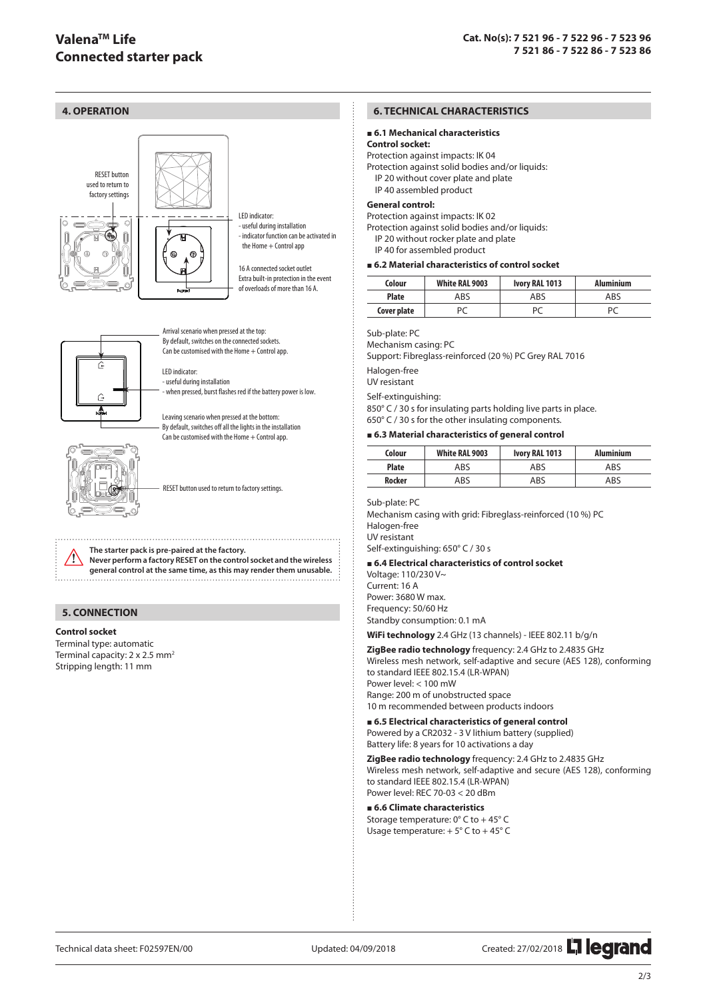



Arrival scenario when pressed at the top: By default, switches on the connected sockets. Can be customised with the Home  $+$  Control app.

LED indicator: - useful during installation - when pressed, burst flashes red if the battery power is low.

Leaving scenario when pressed at the bottom: By default, switches off all the lights in the installation  $\frac{1}{2}$ Can be customised with the Home  $+$  Control app.



RESET button used to return to factory settings.

**The starter pack is pre-paired at the factory. Never perform a factory RESET on the control socket and the wireless general control at the same time, as this may render them unusable.**

#### **5. CONNECTION**

#### **Control socket**

Terminal type: automatic Terminal capacity:  $2 \times 2.5$  mm<sup>2</sup> Stripping length: 11 mm

#### **6. TECHNICAL CHARACTERISTICS**

#### **6.1 Mechanical characteristics**

#### **Control socket:**

Protection against impacts: IK 04 Protection against solid bodies and/or liquids: IP 20 without cover plate and plate IP 40 assembled product

#### **General control:**

Protection against impacts: IK 02

Protection against solid bodies and/or liquids:

IP 20 without rocker plate and plate

IP 40 for assembled product

#### **6.2 Material characteristics of control socket**

| Colour       | <b>White RAL 9003</b> | Ivory RAL 1013 | <b>Aluminium</b> |
|--------------|-----------------------|----------------|------------------|
| <b>Plate</b> | ABS                   | ABS            | ABS              |
| Cover plate  | PC                    | PC             | P(               |

#### Sub-plate: PC

Mechanism casing: PC

Support: Fibreglass-reinforced (20 %) PC Grey RAL 7016

Halogen-free

UV resistant

Self-extinguishing:

850° C / 30 s for insulating parts holding live parts in place. 650° C / 30 s for the other insulating components.

#### **6.3 Material characteristics of general control**

| Colour        | White RAL 9003 | Ivory RAL 1013 | <b>Aluminium</b> |
|---------------|----------------|----------------|------------------|
| <b>Plate</b>  | ABS            | ABS            | ABS              |
| <b>Rocker</b> | ABS            | ABS            | ABS              |

#### Sub-plate: PC

Mechanism casing with grid: Fibreglass-reinforced (10 %) PC Halogen-free UV resistant

Self-extinguishing: 650° C / 30 s

#### **6.4 Electrical characteristics of control socket**

Voltage: 110/230 V~ Current: 16 A Power: 3680 W max. Frequency: 50/60 Hz Standby consumption: 0.1 mA

**WiFi technology** 2.4 GHz (13 channels) - IEEE 802.11 b/g/n

**ZigBee radio technology** frequency: 2.4 GHz to 2.4835 GHz Wireless mesh network, self-adaptive and secure (AES 128), conforming to standard IEEE 802.15.4 (LR-WPAN) Power level: < 100 mW Range: 200 m of unobstructed space 10 m recommended between products indoors

 **6.5 Electrical characteristics of general control**

Powered by a CR2032 - 3 V lithium battery (supplied) Battery life: 8 years for 10 activations a day

**ZigBee radio technology** frequency: 2.4 GHz to 2.4835 GHz Wireless mesh network, self-adaptive and secure (AES 128), conforming to standard IEEE 802.15.4 (LR-WPAN) Power level: REC 70-03 < 20 dBm

#### **6.6 Climate characteristics**

Storage temperature: 0° C to + 45° C Usage temperature:  $+5^{\circ}$  C to  $+45^{\circ}$  C